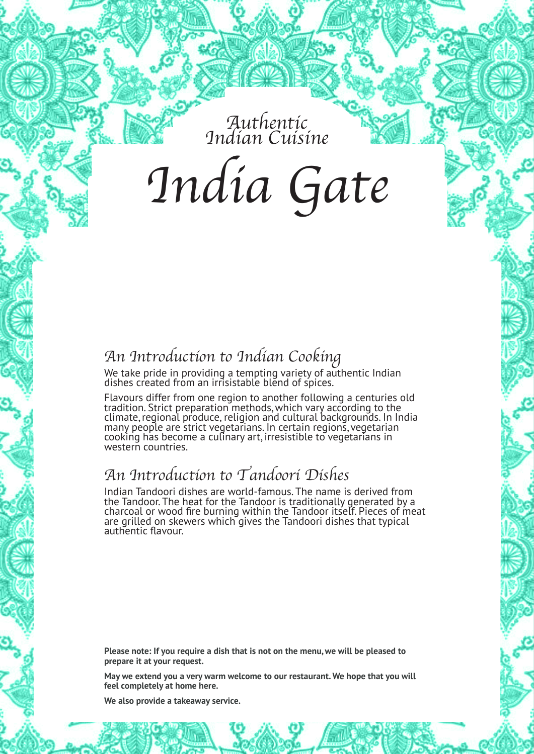Authentic Indian Cuisine

India Gate

### An Introduction to Indian Cooking

We take pride in providing a tempting variety of authentic Indian dishes created from an irrisistable blend of spices.

Flavours differ from one region to another following a centuries old tradition. Strict preparation methods,which vary according to the climate,regional produce, religion and cultural backgrounds. In India many people are strict vegetarians. In certain regions,vegetarian cooking has become a culinary art, irresistible to vegetarians in western countries.

### An Introduction to Tandoori Dishes

Indian Tandoori dishes are world-famous. The name is derived from the Tandoor. The heat for the Tandoor is traditionally generated by a charcoal or wood fire burning within the Tandoor itself. Pieces of meat are grilled on skewers which gives the Tandoori dishes that typical authentic flavour.

**Please note: If you require a dish that is not on the menu,we will be pleased to prepare it at your request.**

**May we extend you a very warm welcome to our restaurant. We hope that you will feel completely at home here.**

**We also provide a takeaway service.**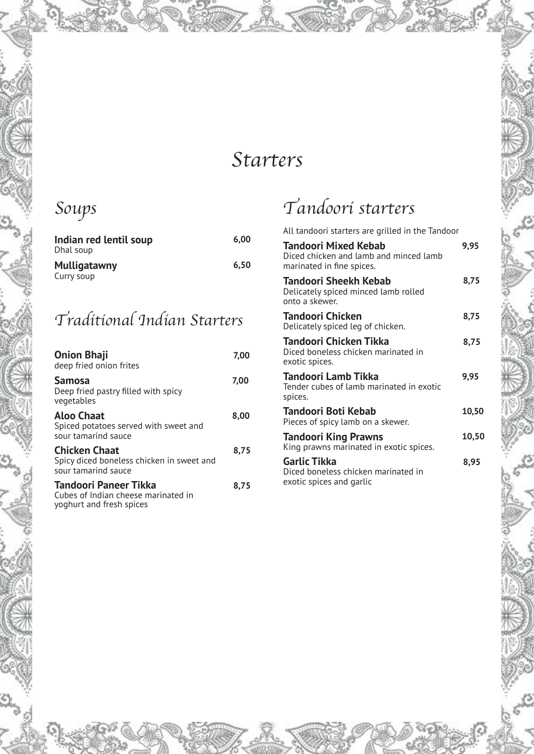# Starters

# Soups

| Indian red lentil soup<br>Dhal soup | 6.00 |
|-------------------------------------|------|
| <b>Mulligatawny</b>                 | 6.50 |
| Curry soup                          |      |

## Traditional Indian Starters

| <b>Onion Bhaji</b><br>deep fried onion frites                                            | 7,00 |
|------------------------------------------------------------------------------------------|------|
| <b>Samosa</b><br>Deep fried pastry filled with spicy<br>vegetables                       | 7,00 |
| Aloo Chaat<br>Spiced potatoes served with sweet and<br>sour tamarind sauce               | 8,00 |
| <b>Chicken Chaat</b><br>Spicy diced boneless chicken in sweet and<br>sour tamarind sauce | 8,75 |
| Tandoori Paneer Tikka<br>Cubes of Indian cheese marinated in<br>yoghurt and fresh spices | 8.75 |

# Tandoori starters

| All tandoori starters are grilled in the Tandoor                                                   |       |
|----------------------------------------------------------------------------------------------------|-------|
| <b>Tandoori Mixed Kebab</b><br>Diced chicken and lamb and minced lamb<br>marinated in fine spices. | 9,95  |
| Tandoori Sheekh Kebab<br>Delicately spiced minced lamb rolled<br>onto a skewer.                    | 8,75  |
| Tandoori Chicken<br>Delicately spiced leg of chicken.                                              | 8,75  |
| Tandoori Chicken Tikka<br>Diced boneless chicken marinated in<br>exotic spices.                    | 8,75  |
| Tandoori Lamb Tikka<br>Tender cubes of lamb marinated in exotic<br>spices.                         | 9,95  |
| Tandoori Boti Kebab<br>Pieces of spicy lamb on a skewer.                                           | 10,50 |
| <b>Tandoori King Prawns</b><br>King prawns marinated in exotic spices.                             | 10,50 |
| <b>Garlic Tikka</b><br>Diced boneless chicken marinated in<br>exotic spices and garlic             | 8.95  |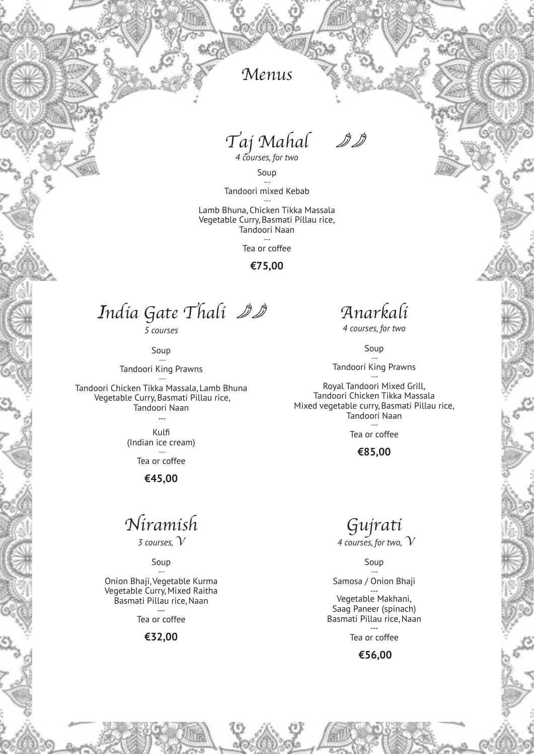### Menus

Taj Mahal

*4 courses,for two*

Soup

*---* Tandoori mixed Kebab *---* Lamb Bhuna,Chicken Tikka Massala Vegetable Curry,Basmati Pillau rice, Tandoori Naan

> *---* Tea or coffee

> > **€75,00**

*I*ndia Gate Thali

*5 courses*

Soup

*---* Tandoori King Prawns *---*

Tandoori Chicken Tikka Massala,Lamb Bhuna Vegetable Curry,Basmati Pillau rice, Tandoori Naan

> *---* Kulfi

(Indian ice cream) *---*

Tea or coffee

**€45,00**

### Niramish

*3 courses, V*

#### Soup

*---* Onion Bhaji,Vegetable Kurma Vegetable Curry, Mixed Raitha Basmati Pillau rice,Naan

> *---* Tea or coffee

#### **€32,00**

### Anarkali

*4 courses,for two*

Soup *---*

Tandoori King Prawns

*---* Royal Tandoori Mixed Grill, Tandoori Chicken Tikka Massala Mixed vegetable curry,Basmati Pillau rice, Tandoori Naan

> *---* Tea or coffee

#### **€85,00**

Gujrati *4 courses,for two, V*

Soup

*---* Samosa / Onion Bhaji

*---* Vegetable Makhani, Saag Paneer (spinach) Basmati Pillau rice,Naan

> *---* Tea or coffee

#### **€56,00**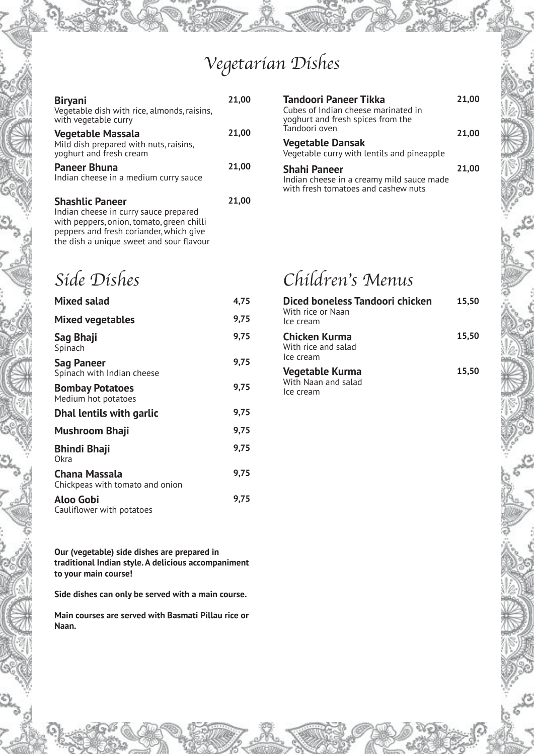# Vegetarian Dishes

| <b>Biryani</b><br>Vegetable dish with rice, almonds, raisins,<br>with vegetable curry                        | 21,00 |
|--------------------------------------------------------------------------------------------------------------|-------|
| <b>Vegetable Massala</b><br>Mild dish prepared with nuts, raisins,<br>yoghurt and fresh cream                | 21,00 |
| <b>Paneer Bhuna</b><br>Indian cheese in a medium curry sauce                                                 | 21,00 |
| <b>Shashlic Paneer</b><br>Indian cheese in curry sauce prepared<br>with peppers, onion, tomato, green chilli | 21,00 |

| Tandoori Paneer Tikka<br>Cubes of Indian cheese marinated in<br>yoghurt and fresh spices from the       | 21.00 |
|---------------------------------------------------------------------------------------------------------|-------|
| Tandoori oven<br><b>Vegetable Dansak</b><br>Vegetable curry with lentils and pineapple                  | 21,00 |
| <b>Shahi Paneer</b><br>Indian cheese in a creamy mild sauce made<br>with fresh tomatoes and cashew nuts | 21.00 |

with peppers,onion, tomato,green chilli peppers and fresh coriander,which give the dish a unique sweet and sour flavour

### Side Dishes

| <b>Mixed salad</b>                               | 4,75 |
|--------------------------------------------------|------|
| Mixed vegetables                                 | 9,75 |
| Sag Bhaji<br>Spinach                             | 9,75 |
| Sag Paneer<br>Spinach with Indian cheese         | 9,75 |
| <b>Bombay Potatoes</b><br>Medium hot potatoes    | 9,75 |
| <b>Dhal lentils with garlic</b>                  | 9,75 |
| Mushroom Bhaji                                   | 9,75 |
| Bhindi Bhaji<br>Okra                             | 9,75 |
| Chana Massala<br>Chickpeas with tomato and onion | 9,75 |
| Aloo Gobi                                        | 9.75 |

Cauliflower with potatoes

**Our (vegetable) side dishes are prepared in traditional Indian style. A delicious accompaniment to your main course!**

**Side dishes can only be served with a main course.**

**Main courses are served with Basmati Pillau rice or Naan.**

# Children's Menus

| Diced boneless Tandoori chicken<br>With rice or Naan<br>Ice cream | 15.50 |
|-------------------------------------------------------------------|-------|
| Chicken Kurma<br>With rice and salad<br>Ice cream                 | 15.50 |
| Vegetable Kurma<br>With Naan and salad<br>Ice cream               | 15,50 |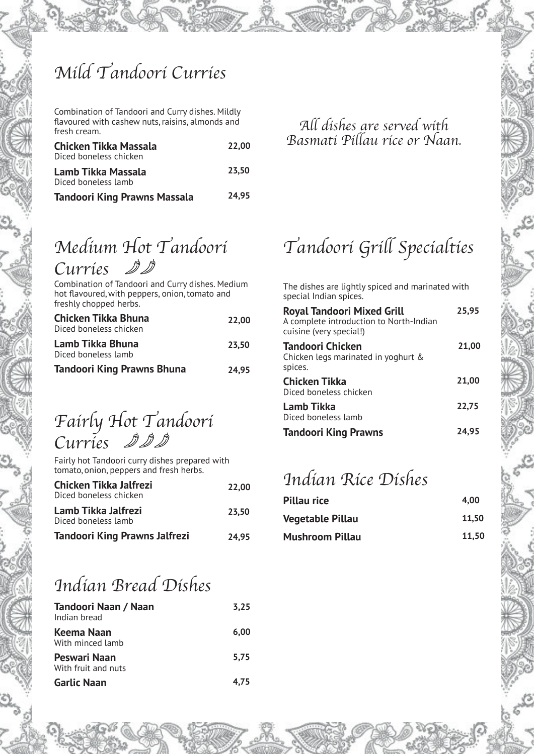# Mild Tandoori Curries

Combination of Tandoori and Curry dishes. Mildly flavoured with cashew nuts,raisins, almonds and fresh cream.

| <b>Chicken Tikka Massala</b><br>Diced boneless chicken | 22.00 |
|--------------------------------------------------------|-------|
| Lamb Tikka Massala<br>Diced boneless lamb              | 23.50 |
| Tandoori King Prawns Massala                           | 24.95 |

### All dishes are served with Basmati Pillau rice or Naan.

# Medium Hot Tandoori

Curries

Combination of Tandoori and Curry dishes. Medium hot flavoured, with peppers, onion, tomato and freshly chopped herbs.

| Chicken Tikka Bhuna<br>Diced boneless chicken | 22.00 |
|-----------------------------------------------|-------|
| Lamb Tikka Bhuna<br>Diced boneless lamb       | 23.50 |
| <b>Tandoori King Prawns Bhuna</b>             | 24.95 |

#### Fairly Hot Tandoori Curries 2 分 ∭

Fairly hot Tandoori curry dishes prepared with tomato,onion, peppers and fresh herbs.

| Chicken Tikka Jalfrezi<br>Diced boneless chicken | 22.00 |
|--------------------------------------------------|-------|
| Lamb Tikka Jalfrezi<br>Diced boneless lamb       | 23.50 |
| <b>Tandoori King Prawns Jalfrezi</b>             | 24.95 |

## Indian Bread Dishes

| Tandoori Naan / Naan<br>Indian bread | 3.25 |
|--------------------------------------|------|
| Keema Naan<br>With minced lamb       | 6.00 |
| Peswari Naan<br>With fruit and nuts  | 5.75 |
| <b>Garlic Naan</b>                   | 4.75 |

# Tandoori Grill Specialties

The dishes are lightly spiced and marinated with special Indian spices.

| Royal Tandoori Mixed Grill<br>A complete introduction to North-Indian<br>cuisine (very special!) | 25.95 |
|--------------------------------------------------------------------------------------------------|-------|
| Tandoori Chicken<br>Chicken legs marinated in yoghurt &<br>spices.                               | 21.00 |
| <b>Chicken Tikka</b><br>Diced boneless chicken                                                   | 21,00 |
| Lamb Tikka<br>Diced boneless lamb                                                                | 22.75 |
| <b>Tandoori King Prawns</b>                                                                      | 24.95 |

### Indian Rice Dishes

| Pillau rice             | 4.00  |
|-------------------------|-------|
| <b>Vegetable Pillau</b> | 11.50 |
| <b>Mushroom Pillau</b>  | 11,50 |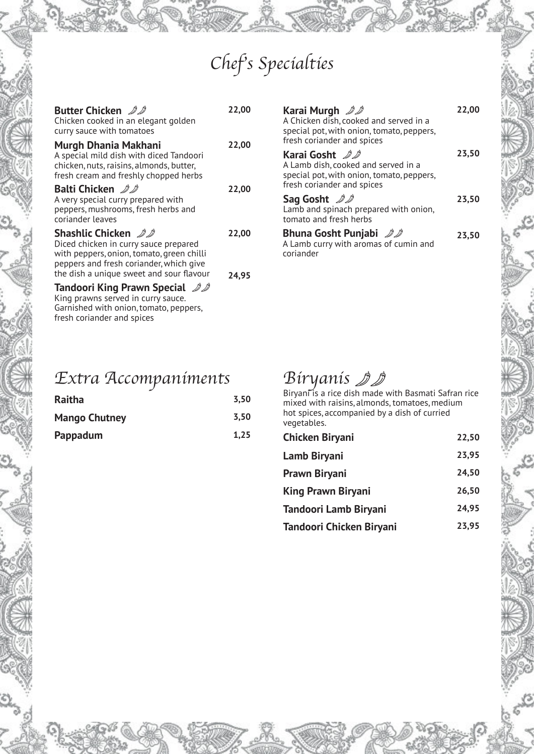# Chef's Specialties

| <b>Butter Chicken</b> 20<br>Chicken cooked in an elegant golden<br>curry sauce with tomatoes                                                                                                            | 22,00          |
|---------------------------------------------------------------------------------------------------------------------------------------------------------------------------------------------------------|----------------|
| Murgh Dhania Makhani<br>A special mild dish with diced Tandoori<br>chicken, nuts, raisins, almonds, butter,<br>fresh cream and freshly chopped herbs                                                    | 22,00          |
| Balti Chicken 22<br>A very special curry prepared with<br>peppers, mushrooms, fresh herbs and<br>coriander leaves                                                                                       | 22,00          |
| <b>Shashlic Chicken</b> 22<br>Diced chicken in curry sauce prepared<br>with peppers, onion, tomato, green chilli<br>peppers and fresh coriander, which give<br>the dish a unique sweet and sour flavour | 22,00<br>24.95 |
| <b>Tandoori King Prawn Special</b> 22<br>King prawns served in curry sauce.<br>Garnished with onion, tomato, peppers,<br>fresh coriander and spices                                                     |                |

| Karai Murgh 22<br>A Chicken dish, cooked and served in a<br>special pot, with onion, tomato, peppers,<br>fresh coriander and spices | 22,00 |
|-------------------------------------------------------------------------------------------------------------------------------------|-------|
| Karai Gosht AA<br>A Lamb dish, cooked and served in a<br>special pot, with onion, tomato, peppers,<br>fresh coriander and spices    | 23,50 |
| Sag Gosht 22<br>Lamb and spinach prepared with onion,<br>tomato and fresh herbs                                                     | 23,50 |
| <b>Bhuna Gosht Punjabi</b> 22<br>A Lamb curry with aromas of cumin and<br>coriander                                                 | 23,50 |

### Extra Accompaniments

| Raitha               | 3.50 |
|----------------------|------|
| <b>Mango Chutney</b> | 3.50 |
| Pappadum             | 1,25 |

### Biryanis

Biryani is a rice dish made with Basmati Safran rice mixed with raisins, almonds, tomatoes,medium hot spices, accompanied by a dish of curried vegetables.

| <b>Chicken Biryani</b>    | 22,50 |
|---------------------------|-------|
| Lamb Biryani              | 23,95 |
| Prawn Biryani             | 24.50 |
| <b>King Prawn Biryani</b> | 26,50 |
| Tandoori Lamb Biryani     | 24,95 |
| Tandoori Chicken Biryani  | 23.95 |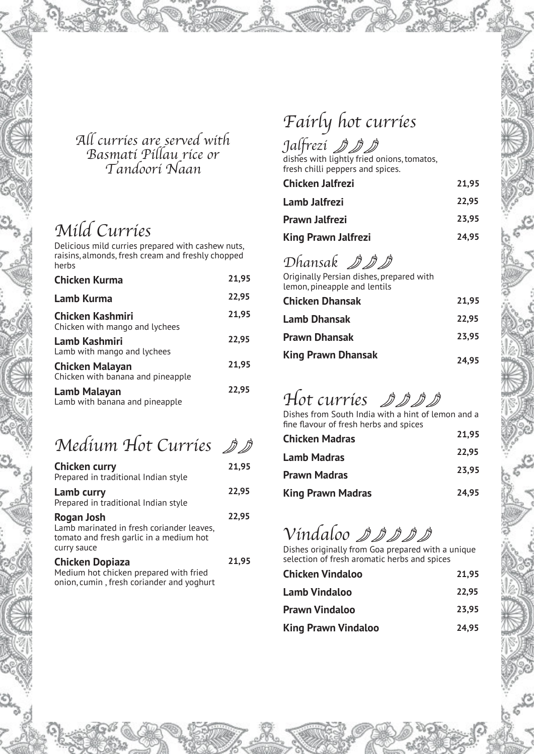### All curries are served with Basmati Pillau rice or Tandoori Naan

## Mild Curries

Delicious mild curries prepared with cashew nuts, raisins, almonds, fresh cream and freshly chopped herbs

| <b>Chicken Kurma</b>                                        | 21,95 |
|-------------------------------------------------------------|-------|
| Lamb Kurma                                                  | 22,95 |
| <b>Chicken Kashmiri</b><br>Chicken with mango and lychees   | 21,95 |
| <b>Lamb Kashmiri</b><br>Lamb with mango and lychees         | 22,95 |
| <b>Chicken Malayan</b><br>Chicken with banana and pineapple | 21,95 |
| Lamb Malayan<br>Lamb with banana and pineapple              | 22,95 |

### Medium Hot Curries DD

| <b>Chicken curry</b><br>Prepared in traditional Indian style                                                      | 21,95 |
|-------------------------------------------------------------------------------------------------------------------|-------|
| Lamb curry<br>Prepared in traditional Indian style                                                                | 22,95 |
| Rogan Josh<br>Lamb marinated in fresh coriander leaves,<br>tomato and fresh garlic in a medium hot<br>curry sauce | 22.95 |
| <b>Chicken Dopiaza</b><br>Medium hot chicken prepared with fried<br>onion, cumin, fresh coriander and yoghurt     | 21,95 |

# Fairly hot curries

### Jalfrezi

dishes with lightly fried onions,tomatos, fresh chilli peppers and spices.

| Chicken Jalfrezi    | 21.95 |
|---------------------|-------|
| Lamb Jalfrezi       | 22.95 |
| Prawn Jalfrezi      | 23.95 |
| King Prawn Jalfrezi | 24.95 |

### Dhansak *DDD*

Originally Persian dishes, prepared with lemon,pineapple and lentils

| <b>Chicken Dhansak</b>    | 21.95 |
|---------------------------|-------|
| <b>Lamb Dhansak</b>       | 22.95 |
| <b>Prawn Dhansak</b>      | 23.95 |
| <b>King Prawn Dhansak</b> | 24.95 |

# Hot curries *DDDD*

Dishes from South India with a hint of lemon and a fine flavour of fresh herbs and spices

| <b>Chicken Madras</b>    | 21.95 |
|--------------------------|-------|
| <b>Lamb Madras</b>       | 22.95 |
| <b>Prawn Madras</b>      | 23.95 |
| <b>King Prawn Madras</b> | 24.95 |

## Vindaloo *DDDD*

Dishes originally from Goa prepared with a unique selection of fresh aromatic herbs and spices

| <b>Chicken Vindaloo</b>    | 21.95 |
|----------------------------|-------|
| <b>Lamb Vindaloo</b>       | 22.95 |
| <b>Prawn Vindaloo</b>      | 23.95 |
| <b>King Prawn Vindaloo</b> | 24.95 |